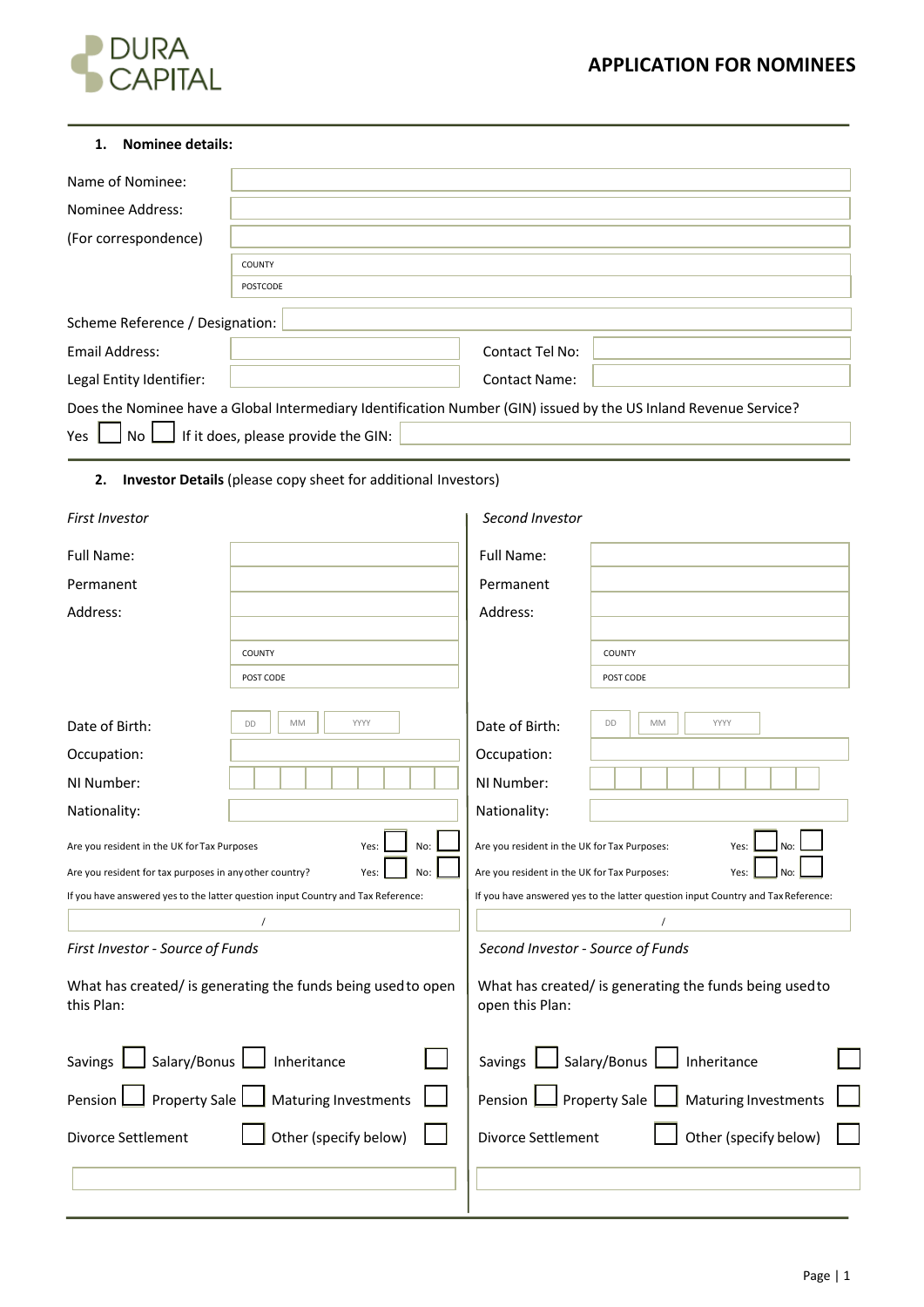# **DURA**<br>CAPITAL

| <b>Nominee details:</b><br>1.                                              |                                                                                                                                                         |                                                                            |                                                                                  |
|----------------------------------------------------------------------------|---------------------------------------------------------------------------------------------------------------------------------------------------------|----------------------------------------------------------------------------|----------------------------------------------------------------------------------|
| Name of Nominee:                                                           |                                                                                                                                                         |                                                                            |                                                                                  |
| Nominee Address:                                                           |                                                                                                                                                         |                                                                            |                                                                                  |
| (For correspondence)                                                       |                                                                                                                                                         |                                                                            |                                                                                  |
|                                                                            | COUNTY                                                                                                                                                  |                                                                            |                                                                                  |
|                                                                            | <b>POSTCODE</b>                                                                                                                                         |                                                                            |                                                                                  |
| Scheme Reference / Designation:                                            |                                                                                                                                                         |                                                                            |                                                                                  |
| Email Address:                                                             |                                                                                                                                                         | Contact Tel No:                                                            |                                                                                  |
| Legal Entity Identifier:                                                   |                                                                                                                                                         | <b>Contact Name:</b>                                                       |                                                                                  |
| No<br>Yes                                                                  | Does the Nominee have a Global Intermediary Identification Number (GIN) issued by the US Inland Revenue Service?<br>If it does, please provide the GIN: |                                                                            |                                                                                  |
| 2.                                                                         | Investor Details (please copy sheet for additional Investors)                                                                                           |                                                                            |                                                                                  |
| <b>First Investor</b>                                                      |                                                                                                                                                         | Second Investor                                                            |                                                                                  |
| <b>Full Name:</b>                                                          |                                                                                                                                                         | <b>Full Name:</b>                                                          |                                                                                  |
| Permanent                                                                  |                                                                                                                                                         | Permanent                                                                  |                                                                                  |
| Address:                                                                   |                                                                                                                                                         | Address:                                                                   |                                                                                  |
|                                                                            | COUNTY                                                                                                                                                  |                                                                            | COUNTY                                                                           |
|                                                                            | POST CODE                                                                                                                                               |                                                                            | POST CODE                                                                        |
|                                                                            |                                                                                                                                                         |                                                                            |                                                                                  |
| Date of Birth:                                                             | MM<br>YYYY<br>DD                                                                                                                                        | Date of Birth:                                                             | YYYY<br>DD<br>MM                                                                 |
| Occupation:                                                                |                                                                                                                                                         | Occupation:                                                                |                                                                                  |
| NI Number:                                                                 |                                                                                                                                                         | NI Number:                                                                 |                                                                                  |
| Nationality:                                                               |                                                                                                                                                         | Nationality:                                                               |                                                                                  |
| Are you resident in the UK for Tax Purposes                                | Yes:<br>No:                                                                                                                                             | Are you resident in the UK for Tax Purposes:                               | Yes:<br>No:                                                                      |
| Are you resident for tax purposes in any other country?                    | Yes:<br>No:                                                                                                                                             | Are you resident in the UK for Tax Purposes:                               | Yes                                                                              |
|                                                                            | If you have answered yes to the latter question input Country and Tax Reference:                                                                        |                                                                            | If you have answered yes to the latter question input Country and Tax Reference: |
|                                                                            |                                                                                                                                                         |                                                                            |                                                                                  |
| First Investor - Source of Funds                                           |                                                                                                                                                         | Second Investor - Source of Funds                                          |                                                                                  |
| What has created/ is generating the funds being used to open<br>this Plan: |                                                                                                                                                         | What has created/ is generating the funds being used to<br>open this Plan: |                                                                                  |
| Savings   Salary/Bonus  <br>Inheritance                                    |                                                                                                                                                         | Salary/Bonus L<br>Savings  <br>Inheritance                                 |                                                                                  |
| Property Sale   Maturing Investments<br>Pension                            |                                                                                                                                                         | Pension                                                                    | Property Sale<br>Maturing Investments                                            |
| Other (specify below)<br>Divorce Settlement                                |                                                                                                                                                         | Divorce Settlement                                                         | Other (specify below)                                                            |
|                                                                            |                                                                                                                                                         |                                                                            |                                                                                  |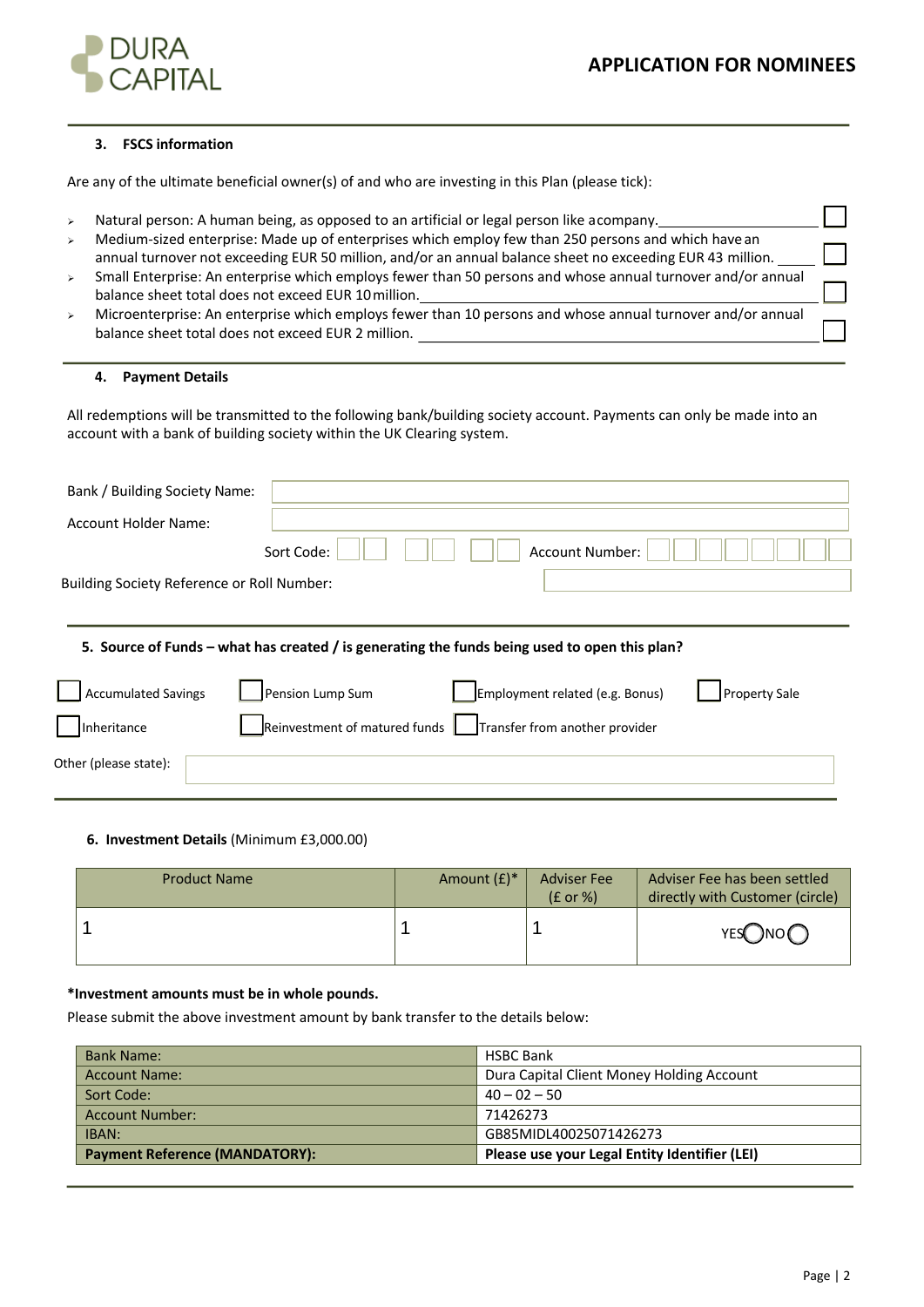

# **3. FSCS information**

Are any of the ultimate beneficial owner(s) of and who are investing in this Plan (please tick):

- > Natural person: A human being, as opposed to an artificial or legal person like acompany.
- $\triangleright$  Medium-sized enterprise: Made up of enterprises which employ few than 250 persons and which have an annual turnover not exceeding EUR 50 million, and/or an annual balance sheet no exceeding EUR 43 million.
- <sup>Ø</sup> Small Enterprise: An enterprise which employs fewer than 50 persons and whose annual turnover and/or annual balance sheet total does not exceed EUR 10million.
- <sup>Ø</sup> Microenterprise: An enterprise which employs fewer than 10 persons and whose annual turnover and/or annual balance sheet total does not exceed EUR 2 million.

# **4. Payment Details**

All redemptions will be transmitted to the following bank/building society account. Payments can only be made into an account with a bank of building society within the UK Clearing system.

| Bank / Building Society Name:              |            |                 |  |
|--------------------------------------------|------------|-----------------|--|
| Account Holder Name:                       |            |                 |  |
|                                            | Sort Code: | Account Number: |  |
| Building Society Reference or Roll Number: |            |                 |  |
|                                            |            |                 |  |

# **5. Source of Funds – what has created / is generating the funds being used to open this plan?**

| Accumulated Savings   | Pension Lump Sum | Employment related (e.g. Bonus)                                                          | Property Sale |
|-----------------------|------------------|------------------------------------------------------------------------------------------|---------------|
| Inheritance           |                  | $\frac{1}{2}$ Reinvestment of matured funds $\frac{1}{2}$ Transfer from another provider |               |
| Other (please state): |                  |                                                                                          |               |

# **6. Investment Details** (Minimum £3,000.00)

| <b>Product Name</b> | Amount $(f)^*$ | <b>Adviser Fee</b><br>$(E \text{ or } \%)$ | Adviser Fee has been settled<br>directly with Customer (circle) |
|---------------------|----------------|--------------------------------------------|-----------------------------------------------------------------|
|                     |                |                                            | YESONO <sub>C</sub>                                             |

# **\*Investment amounts must be in whole pounds.**

Please submit the above investment amount by bank transfer to the details below:

| <b>Bank Name:</b>                     | <b>HSBC Bank</b>                              |  |
|---------------------------------------|-----------------------------------------------|--|
| <b>Account Name:</b>                  | Dura Capital Client Money Holding Account     |  |
| Sort Code:                            | $40 - 02 - 50$                                |  |
| <b>Account Number:</b>                | 71426273                                      |  |
| IBAN:                                 | GB85MIDL40025071426273                        |  |
| <b>Payment Reference (MANDATORY):</b> | Please use your Legal Entity Identifier (LEI) |  |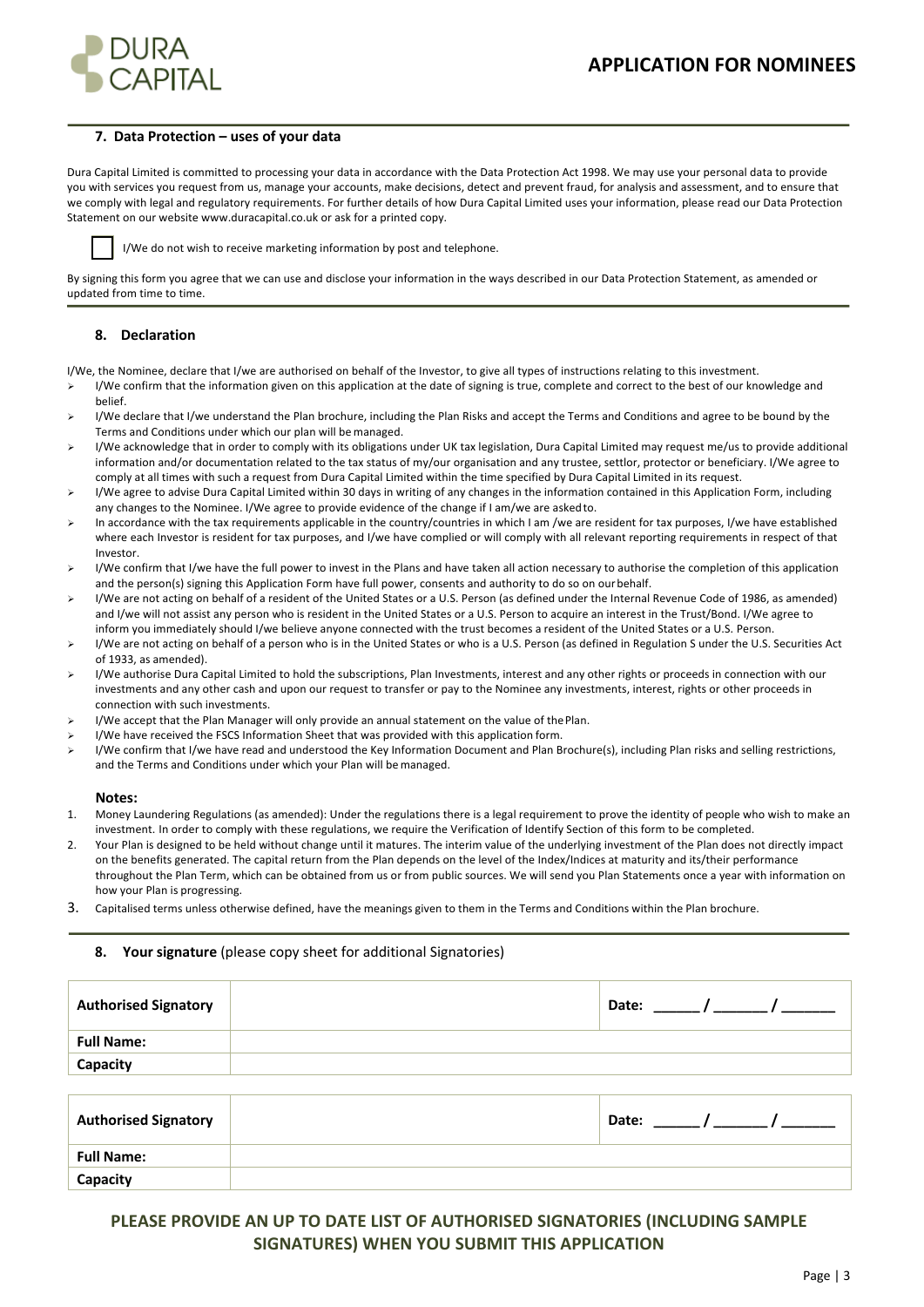

#### **7. Data Protection – uses of your data**

Dura Capital Limited is committed to processing your data in accordance with the Data Protection Act 1998. We may use your personal data to provide you with services you request from us, manage your accounts, make decisions, detect and prevent fraud, for analysis and assessment, and to ensure that we comply with legal and regulatory requirements. For further details of how Dura Capital Limited uses your information, please read our Data Protection Statement on our website www.duracapital.co.uk or ask for a printed copy.



I/We do not wish to receive marketing information by post and telephone.

By signing this form you agree that we can use and disclose your information in the ways described in our Data Protection Statement, as amended or updated from time to time.

#### **8. Declaration**

I/We, the Nominee, declare that I/we are authorised on behalf of the Investor, to give all types of instructions relating to this investment.

- ▶ I/We confirm that the information given on this application at the date of signing is true, complete and correct to the best of our knowledge and belief.
- Ø I/We declare that I/we understand the Plan brochure, including the Plan Risks and accept the Terms and Conditions and agree to be bound by the Terms and Conditions under which our plan will bemanaged.
- > I/We acknowledge that in order to comply with its obligations under UK tax legislation, Dura Capital Limited may request me/us to provide additional information and/or documentation related to the tax status of my/our organisation and any trustee, settlor, protector or beneficiary. I/We agree to comply at all times with such a request from Dura Capital Limited within the time specified by Dura Capital Limited in its request.
- $\triangleright$  I/We agree to advise Dura Capital Limited within 30 days in writing of any changes in the information contained in this Application Form, including any changes to the Nominee. I/We agree to provide evidence of the change if I am/we are askedto.
- > In accordance with the tax requirements applicable in the country/countries in which I am /we are resident for tax purposes, I/we have established where each Investor is resident for tax purposes, and I/we have complied or will comply with all relevant reporting requirements in respect of that Investor.
- ▶ I/We confirm that I/we have the full power to invest in the Plans and have taken all action necessary to authorise the completion of this application and the person(s) signing this Application Form have full power, consents and authority to do so on ourbehalf.
- I/We are not acting on behalf of a resident of the United States or a U.S. Person (as defined under the Internal Revenue Code of 1986, as amended) and I/we will not assist any person who is resident in the United States or a U.S. Person to acquire an interest in the Trust/Bond. I/We agree to inform you immediately should I/we believe anyone connected with the trust becomes a resident of the United States or a U.S. Person.
- Ø I/We are not acting on behalf of a person who is in the United States or who is a U.S. Person (as defined in Regulation S under the U.S. Securities Act of 1933, as amended).
- Ø I/We authorise Dura Capital Limited to hold the subscriptions, Plan Investments, interest and any other rights or proceeds in connection with our investments and any other cash and upon our request to transfer or pay to the Nominee any investments, interest, rights or other proceeds in connection with such investments.
- Ø I/We accept that the Plan Manager will only provide an annual statement on the value of thePlan.
- I/We have received the FSCS Information Sheet that was provided with this application form.
- Ø I/We confirm that I/we have read and understood the Key Information Document and Plan Brochure(s), including Plan risks and selling restrictions, and the Terms and Conditions under which your Plan will bemanaged.

#### **Notes:**

**Capacity**

- 1. Money Laundering Regulations (as amended): Under the regulations there is a legal requirement to prove the identity of people who wish to make an investment. In order to comply with these regulations, we require the Verification of Identify Section of this form to be completed.
- 2. Your Plan is designed to be held without change until it matures. The interim value of the underlying investment of the Plan does not directly impact on the benefits generated. The capital return from the Plan depends on the level of the Index/Indices at maturity and its/their performance throughout the Plan Term, which can be obtained from us or from public sources. We will send you Plan Statements once a year with information on how your Plan is progressing.
- 3. Capitalised terms unless otherwise defined, have the meanings given to them in the Terms and Conditions within the Plan brochure.

#### **8. Your signature** (please copy sheet for additional Signatories)

| <b>Authorised Signatory</b> |                              |
|-----------------------------|------------------------------|
| <b>Full Name:</b>           |                              |
| Capacity                    |                              |
|                             |                              |
| <b>Authorised Signatory</b> | Date: _____/ ______/ _______ |
| <b>Full Name:</b>           |                              |

# **PLEASE PROVIDE AN UP TO DATE LIST OF AUTHORISED SIGNATORIES (INCLUDING SAMPLE SIGNATURES) WHEN YOU SUBMIT THIS APPLICATION**